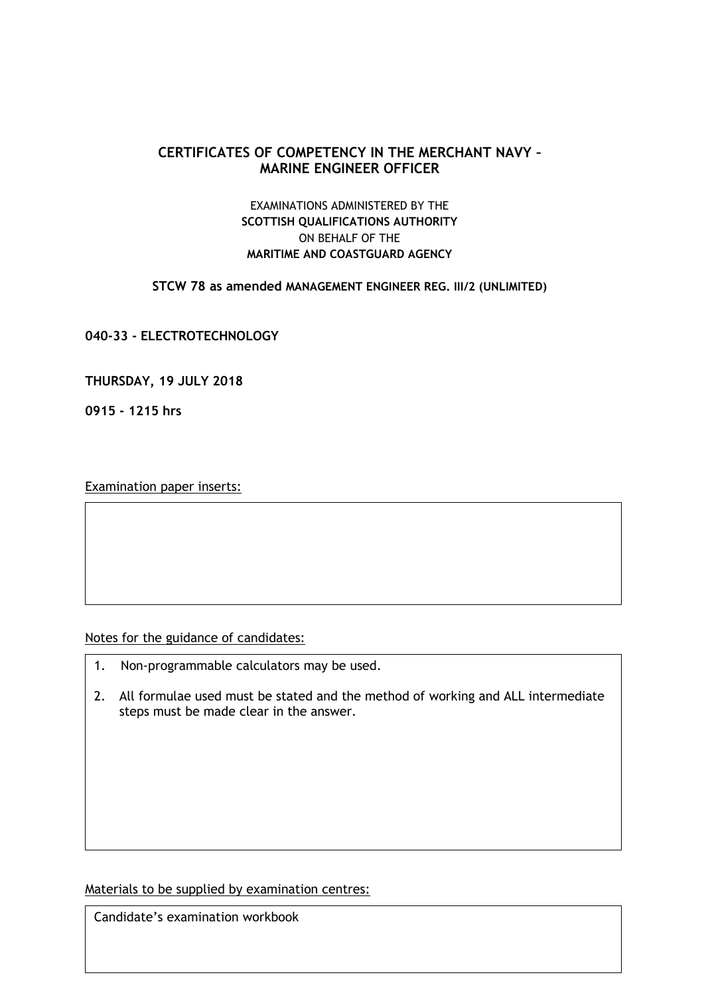## **CERTIFICATES OF COMPETENCY IN THE MERCHANT NAVY – MARINE ENGINEER OFFICER**

## EXAMINATIONS ADMINISTERED BY THE **SCOTTISH QUALIFICATIONS AUTHORITY** ON BEHALF OF THE **MARITIME AND COASTGUARD AGENCY**

**STCW 78 as amended MANAGEMENT ENGINEER REG. III/2 (UNLIMITED)**

**040-33 - ELECTROTECHNOLOGY**

**THURSDAY, 19 JULY 2018**

**0915 - 1215 hrs**

Examination paper inserts:

Notes for the guidance of candidates:

- 1. Non-programmable calculators may be used.
- 2. All formulae used must be stated and the method of working and ALL intermediate steps must be made clear in the answer.

Materials to be supplied by examination centres:

Candidate's examination workbook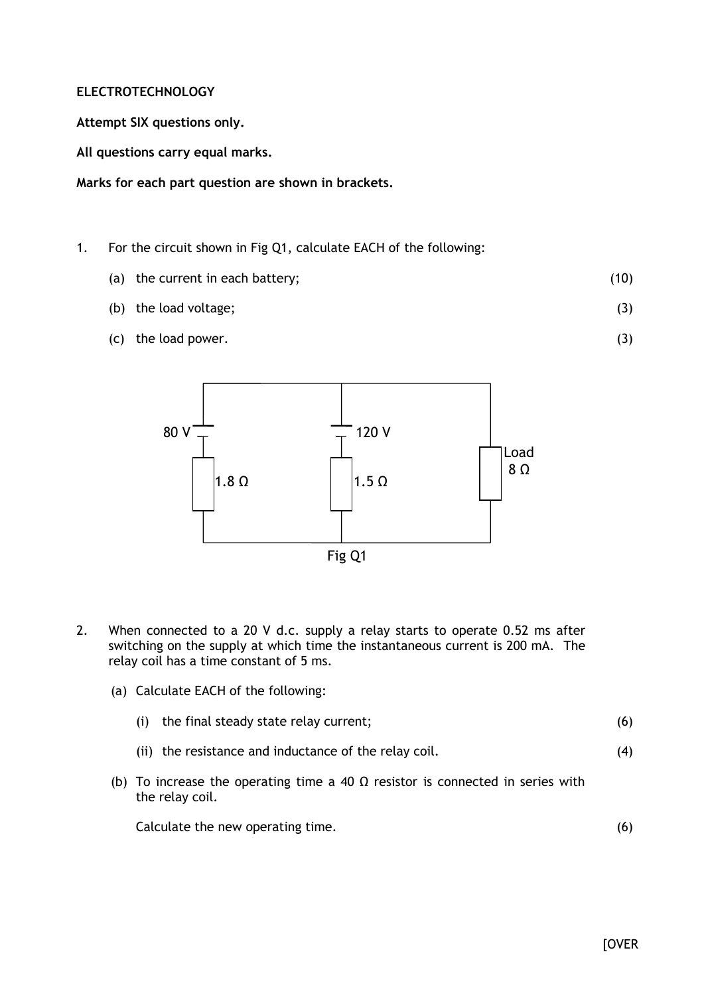## **ELECTROTECHNOLOGY**

**Attempt SIX questions only.**

**All questions carry equal marks.**

**Marks for each part question are shown in brackets.**

- 1. For the circuit shown in Fig Q1, calculate EACH of the following:
	- (a) the current in each battery; (10)
	- (b) the load voltage; (3)
	- (c) the load power.



- 2. When connected to a 20 V d.c. supply a relay starts to operate 0.52 ms after switching on the supply at which time the instantaneous current is 200 mA. The relay coil has a time constant of 5 ms.
	- (a) Calculate EACH of the following:
		- (i) the final steady state relay current; (6)
		- (ii) the resistance and inductance of the relay coil. (4)
	- (b) To increase the operating time a 40  $\Omega$  resistor is connected in series with the relay coil.

Calculate the new operating time.

(6)

(3)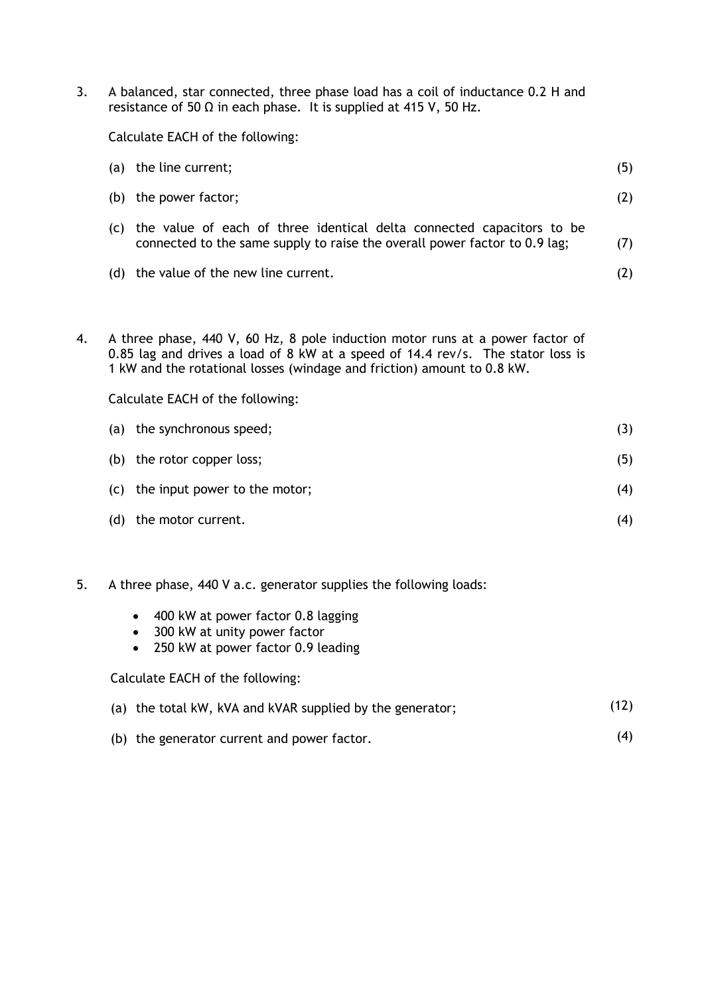3. A balanced, star connected, three phase load has a coil of inductance 0.2 H and resistance of 50  $\Omega$  in each phase. It is supplied at 415 V, 50 Hz.

Calculate EACH of the following:

|                                                                                                                                                                                                                                             | (a) the line current;                                                                                                                               | (5) |  |  |  |  |  |
|---------------------------------------------------------------------------------------------------------------------------------------------------------------------------------------------------------------------------------------------|-----------------------------------------------------------------------------------------------------------------------------------------------------|-----|--|--|--|--|--|
| (b)                                                                                                                                                                                                                                         | the power factor;                                                                                                                                   | (2) |  |  |  |  |  |
| (C)                                                                                                                                                                                                                                         | the value of each of three identical delta connected capacitors to be<br>connected to the same supply to raise the overall power factor to 0.9 lag; |     |  |  |  |  |  |
|                                                                                                                                                                                                                                             | (d) the value of the new line current.                                                                                                              |     |  |  |  |  |  |
|                                                                                                                                                                                                                                             |                                                                                                                                                     |     |  |  |  |  |  |
| A three phase, 440 V, 60 Hz, 8 pole induction motor runs at a power factor of<br>0.85 lag and drives a load of 8 kW at a speed of 14.4 rev/s. The stator loss is<br>1 kW and the rotational losses (windage and friction) amount to 0.8 kW. |                                                                                                                                                     |     |  |  |  |  |  |
| Calculate EACH of the following:                                                                                                                                                                                                            |                                                                                                                                                     |     |  |  |  |  |  |
|                                                                                                                                                                                                                                             | (a) the synchronous speed;<br>(3)                                                                                                                   |     |  |  |  |  |  |
|                                                                                                                                                                                                                                             |                                                                                                                                                     |     |  |  |  |  |  |

4. A three phase, 440 V, 60 Hz, 8 pole induction motor runs at a power factor of

| the synchronous speed;            | (3) |
|-----------------------------------|-----|
| the rotor copper loss;            | (5) |
| (c) the input power to the motor; | (4) |
| the motor current.                | (4) |
|                                   |     |

- 5. A three phase, 440 V a.c. generator supplies the following loads:
	- 400 kW at power factor 0.8 lagging
	- 300 kW at unity power factor
	- 250 kW at power factor 0.9 leading

Calculate EACH of the following:

- (a) the total kW, kVA and kVAR supplied by the generator; (12)
- (b) the generator current and power factor. (4)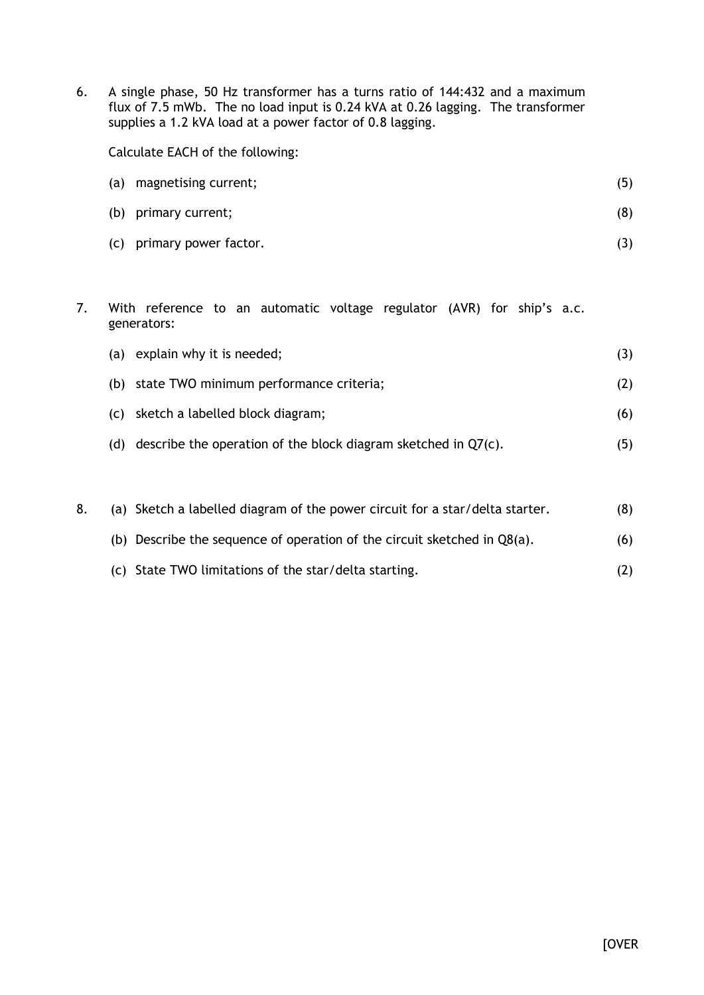6. A single phase, 50 Hz transformer has a turns ratio of 144:432 and a maximum flux of 7.5 mWb. The no load input is 0.24 kVA at 0.26 lagging. The transformer supplies a 1.2 kVA load at a power factor of 0.8 lagging.

Calculate EACH of the following:

| (a) | magnetising current;      | (5) |
|-----|---------------------------|-----|
|     | (b) primary current;      | (8) |
|     | (c) primary power factor. |     |

7. With reference to an automatic voltage regulator (AVR) for ship's a.c. generators:

|     | (a) explain why it is needed;                                     |     |
|-----|-------------------------------------------------------------------|-----|
|     | (b) state TWO minimum performance criteria;                       | (2) |
|     | (c) sketch a labelled block diagram;                              | (6) |
| (d) | describe the operation of the block diagram sketched in $Q7(c)$ . | (5) |

|  | (a) Sketch a labelled diagram of the power circuit for a star/delta starter. | (8) |
|--|------------------------------------------------------------------------------|-----|
|  | (b) Describe the sequence of operation of the circuit sketched in $Q8(a)$ .  | (6) |
|  | (c) State TWO limitations of the star/delta starting.                        | (2) |